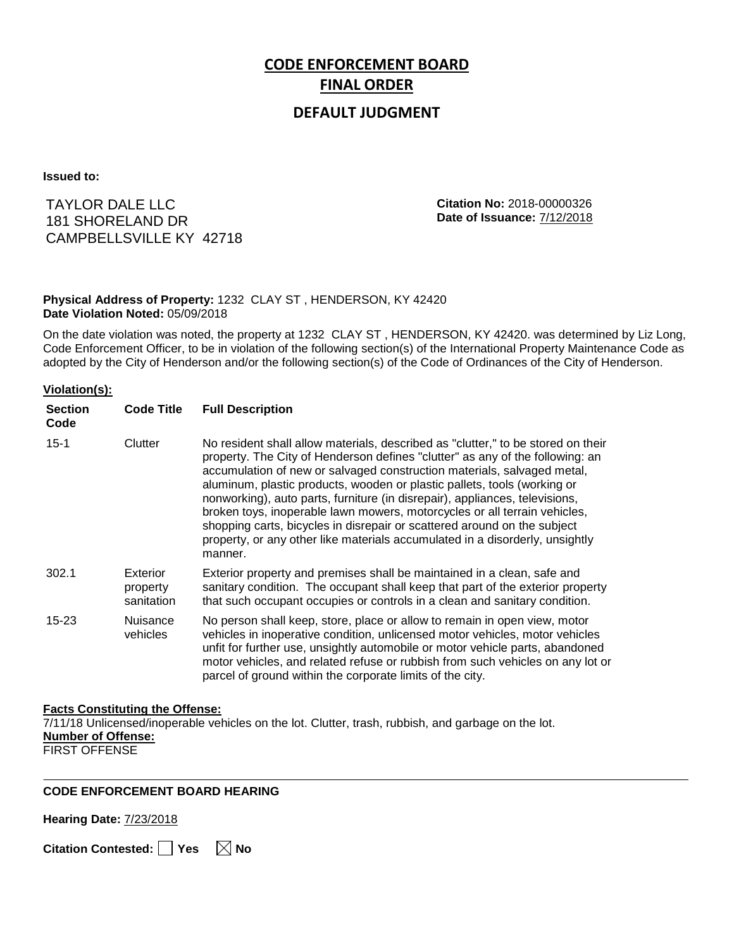# **CODE ENFORCEMENT BOARD FINAL ORDER**

# **DEFAULT JUDGMENT**

**Issued to:**

TAYLOR DALE LLC 181 SHORELAND DR CAMPBELLSVILLE KY 42718 **Citation No:** 2018-00000326 **Date of Issuance:** 7/12/2018

### **Physical Address of Property:** 1232 CLAY ST , HENDERSON, KY 42420 **Date Violation Noted:** 05/09/2018

On the date violation was noted, the property at 1232 CLAY ST , HENDERSON, KY 42420. was determined by Liz Long, Code Enforcement Officer, to be in violation of the following section(s) of the International Property Maintenance Code as adopted by the City of Henderson and/or the following section(s) of the Code of Ordinances of the City of Henderson.

#### **Violation(s):**

| <b>Section</b><br>Code | <b>Code Title</b>                  | <b>Full Description</b>                                                                                                                                                                                                                                                                                                                                                                                                                                                                                                                                                                                                                                     |
|------------------------|------------------------------------|-------------------------------------------------------------------------------------------------------------------------------------------------------------------------------------------------------------------------------------------------------------------------------------------------------------------------------------------------------------------------------------------------------------------------------------------------------------------------------------------------------------------------------------------------------------------------------------------------------------------------------------------------------------|
| $15 - 1$               | Clutter                            | No resident shall allow materials, described as "clutter," to be stored on their<br>property. The City of Henderson defines "clutter" as any of the following: an<br>accumulation of new or salvaged construction materials, salvaged metal,<br>aluminum, plastic products, wooden or plastic pallets, tools (working or<br>nonworking), auto parts, furniture (in disrepair), appliances, televisions,<br>broken toys, inoperable lawn mowers, motorcycles or all terrain vehicles,<br>shopping carts, bicycles in disrepair or scattered around on the subject<br>property, or any other like materials accumulated in a disorderly, unsightly<br>manner. |
| 302.1                  | Exterior<br>property<br>sanitation | Exterior property and premises shall be maintained in a clean, safe and<br>sanitary condition. The occupant shall keep that part of the exterior property<br>that such occupant occupies or controls in a clean and sanitary condition.                                                                                                                                                                                                                                                                                                                                                                                                                     |
| 15-23                  | Nuisance<br>vehicles               | No person shall keep, store, place or allow to remain in open view, motor<br>vehicles in inoperative condition, unlicensed motor vehicles, motor vehicles<br>unfit for further use, unsightly automobile or motor vehicle parts, abandoned<br>motor vehicles, and related refuse or rubbish from such vehicles on any lot or<br>parcel of ground within the corporate limits of the city.                                                                                                                                                                                                                                                                   |

## **Facts Constituting the Offense:**

7/11/18 Unlicensed/inoperable vehicles on the lot. Clutter, trash, rubbish, and garbage on the lot. **Number of Offense:**

FIRST OFFENSE

## **CODE ENFORCEMENT BOARD HEARING**

**Hearing Date:** 7/23/2018

**Citation Contested:** ■ Yes  $\ \ \mathbb{\times}$  No